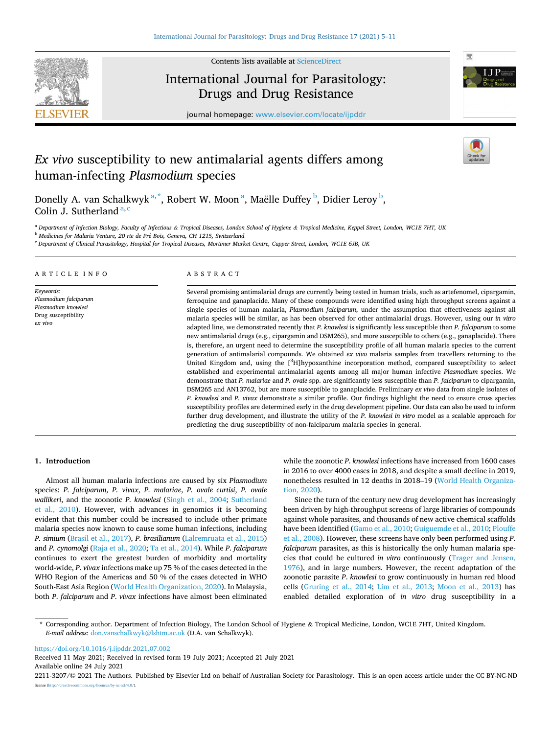

Contents lists available at [ScienceDirect](www.sciencedirect.com/science/journal/22113207)

# International Journal for Parasitology: Drugs and Drug Resistance



journal homepage: [www.elsevier.com/locate/ijpddr](https://www.elsevier.com/locate/ijpddr)

## *Ex vivo* susceptibility to new antimalarial agents differs among human-infecting *Plasmodium* species

Donelly A. van Schalkwyk<sup>a,\*</sup>, Robert W. Moon<sup>a</sup>, Maëlle Duffey <sup>b</sup>, Didier Leroy <sup>b</sup>, Colin J. Sutherland  $a, c$ 

<sup>a</sup> *Department of Infection Biology, Faculty of Infectious & Tropical Diseases, London School of Hygiene & Tropical Medicine, Keppel Street, London, WC1E 7HT, UK* 

<sup>b</sup> Medicines for Malaria Venture, 20 rte de Pré Bois, Geneva, CH 1215, Switzerland

<sup>c</sup> *Department of Clinical Parasitology, Hospital for Tropical Diseases, Mortimer Market Centre, Capper Street, London, WC1E 6JB, UK* 

#### ARTICLE INFO

*Keywords: Plasmodium falciparum Plasmodium knowlesi*  Drug susceptibility *ex vivo* 

## ABSTRACT

Several promising antimalarial drugs are currently being tested in human trials, such as artefenomel, cipargamin, ferroquine and ganaplacide. Many of these compounds were identified using high throughput screens against a single species of human malaria, *Plasmodium falciparum*, under the assumption that effectiveness against all malaria species will be similar, as has been observed for other antimalarial drugs. However, using our *in vitro*  adapted line, we demonstrated recently that *P. knowlesi* is significantly less susceptible than *P. falciparum* to some new antimalarial drugs (e.g., cipargamin and DSM265), and more susceptible to others (e.g., ganaplacide). There is, therefore, an urgent need to determine the susceptibility profile of all human malaria species to the current generation of antimalarial compounds. We obtained *ex vivo* malaria samples from travellers returning to the United Kingdom and, using the [3H]hypoxanthine incorporation method, compared susceptibility to select established and experimental antimalarial agents among all major human infective *Plasmodium* species. We demonstrate that *P. malariae* and *P. ovale* spp. are significantly less susceptible than *P. falciparum* to cipargamin, DSM265 and AN13762, but are more susceptible to ganaplacide. Preliminary *ex vivo* data from single isolates of *P. knowlesi* and *P. vivax* demonstrate a similar profile. Our findings highlight the need to ensure cross species susceptibility profiles are determined early in the drug development pipeline. Our data can also be used to inform further drug development, and illustrate the utility of the *P. knowlesi in vitro* model as a scalable approach for predicting the drug susceptibility of non-falciparum malaria species in general.

#### **1. Introduction**

Almost all human malaria infections are caused by six *Plasmodium*  species: *P. falciparum*, *P. vivax*, *P. malariae*, *P. ovale curtisi*, *P. ovale wallikeri*, and the zoonotic *P. knowlesi* [\(Singh et al., 2004;](#page-6-0) [Sutherland](#page-6-0)  [et al., 2010\)](#page-6-0). However, with advances in genomics it is becoming evident that this number could be increased to include other primate malaria species now known to cause some human infections, including *P. simium* ([Brasil et al., 2017\)](#page-5-0), *P. brasilianum* [\(Lalremruata et al., 2015\)](#page-5-0) and *P. cynomolgi* ([Raja et al., 2020](#page-6-0); [Ta et al., 2014\)](#page-6-0). While *P*. *falciparum*  continues to exert the greatest burden of morbidity and mortality world-wide, *P*. *vivax* infections make up 75 % of the cases detected in the WHO Region of the Americas and 50 % of the cases detected in WHO South-East Asia Region ([World Health Organization, 2020](#page-6-0)). In Malaysia, both *P*. *falciparum* and *P*. *vivax* infections have almost been eliminated

while the zoonotic *P*. *knowlesi* infections have increased from 1600 cases in 2016 to over 4000 cases in 2018, and despite a small decline in 2019, nonetheless resulted in 12 deaths in 2018–19 ([World Health Organiza](#page-6-0)[tion, 2020](#page-6-0)).

Since the turn of the century new drug development has increasingly been driven by high-throughput screens of large libraries of compounds against whole parasites, and thousands of new active chemical scaffolds have been identified [\(Gamo et al., 2010; Guiguemde et al., 2010;](#page-5-0) [Plouffe](#page-6-0)  [et al., 2008\)](#page-6-0). However, these screens have only been performed using *P*. *falciparum* parasites, as this is historically the only human malaria species that could be cultured *in vitro* continuously [\(Trager and Jensen,](#page-6-0)  [1976\)](#page-6-0), and in large numbers. However, the recent adaptation of the zoonotic parasite *P*. *knowlesi* to grow continuously in human red blood cells ([Gruring et al., 2014](#page-5-0); [Lim et al., 2013](#page-5-0); [Moon et al., 2013](#page-5-0)) has enabled detailed exploration of *in vitro* drug susceptibility in a

<https://doi.org/10.1016/j.ijpddr.2021.07.002>

Available online 24 July 2021 Received 11 May 2021; Received in revised form 19 July 2021; Accepted 21 July 2021

2211-3207/© 2021 The Authors. Published by Elsevier Ltd on behalf of Australian Society for Parasitology. This is an open access article under the CC BY-NC-ND license [\(http://creativecommons.org/licenses/by-nc-nd/4.0/\)](http://creativecommons.org/licenses/by-nc-nd/4.0/).

<sup>\*</sup> Corresponding author. Department of Infection Biology, The London School of Hygiene & Tropical Medicine, London, WC1E 7HT, United Kingdom. *E-mail address:* [don.vanschalkwyk@lshtm.ac.uk](mailto:don.vanschalkwyk@lshtm.ac.uk) (D.A. van Schalkwyk).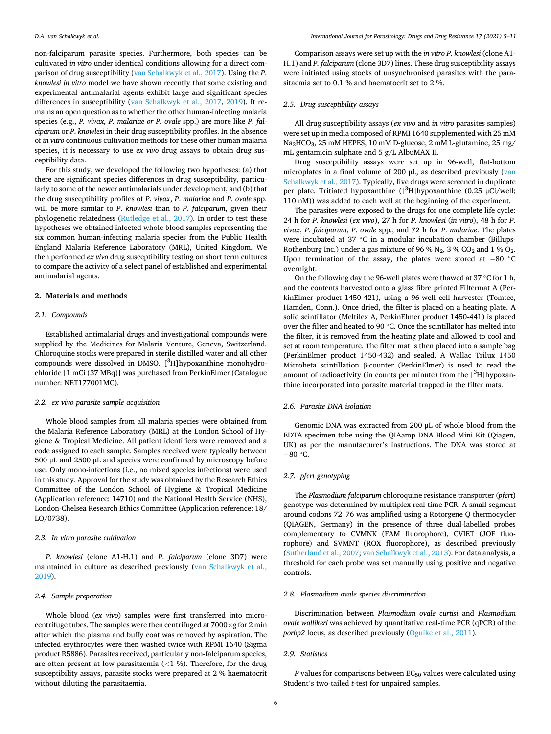non-falciparum parasite species. Furthermore, both species can be cultivated *in vitro* under identical conditions allowing for a direct comparison of drug susceptibility ([van Schalkwyk et al., 2017](#page-6-0)). Using the *P*. *knowlesi in vitro* model we have shown recently that some existing and experimental antimalarial agents exhibit large and significant species differences in susceptibility [\(van Schalkwyk et al., 2017](#page-6-0), [2019\)](#page-6-0). It remains an open question as to whether the other human-infecting malaria species (e.g., *P. vivax, P. malariae or P. ovale* spp.) are more like *P*. *falciparum* or *P*. *knowlesi* in their drug susceptibility profiles. In the absence of *in vitro* continuous cultivation methods for these other human malaria species, it is necessary to use *ex vivo* drug assays to obtain drug susceptibility data.

For this study, we developed the following two hypotheses: (a) that there are significant species differences in drug susceptibility, particularly to some of the newer antimalarials under development, and (b) that the drug susceptibility profiles of *P*. *vivax*, *P*. *malariae* and *P*. *ovale* spp. will be more similar to *P*. *knowlesi* than to *P*. *falciparum*, given their phylogenetic relatedness ([Rutledge et al., 2017\)](#page-6-0). In order to test these hypotheses we obtained infected whole blood samples representing the six common human-infecting malaria species from the Public Health England Malaria Reference Laboratory (MRL), United Kingdom. We then performed *ex vivo* drug susceptibility testing on short term cultures to compare the activity of a select panel of established and experimental antimalarial agents.

### **2. Materials and methods**

#### *2.1. Compounds*

Established antimalarial drugs and investigational compounds were supplied by the Medicines for Malaria Venture, Geneva, Switzerland. Chloroquine stocks were prepared in sterile distilled water and all other compounds were dissolved in DMSO. [<sup>3</sup>H]hypoxanthine monohydrochloride [1 mCi (37 MBq)] was purchased from PerkinElmer (Catalogue number: NET177001MC).

#### *2.2. ex vivo parasite sample acquisition*

Whole blood samples from all malaria species were obtained from the Malaria Reference Laboratory (MRL) at the London School of Hygiene & Tropical Medicine. All patient identifiers were removed and a code assigned to each sample. Samples received were typically between 500 μL and 2500 μL and species were confirmed by microscopy before use. Only mono-infections (i.e., no mixed species infections) were used in this study. Approval for the study was obtained by the Research Ethics Committee of the London School of Hygiene & Tropical Medicine (Application reference: 14710) and the National Health Service (NHS), London-Chelsea Research Ethics Committee (Application reference: 18/ LO/0738).

## *2.3. In vitro parasite cultivation*

*P*. *knowlesi* (clone A1-H.1) and *P*. *falciparum* (clone 3D7) were maintained in culture as described previously [\(van Schalkwyk et al.,](#page-6-0)  [2019\)](#page-6-0).

#### *2.4. Sample preparation*

Whole blood (*ex vivo*) samples were first transferred into microcentrifuge tubes. The samples were then centrifuged at 7000×*g* for 2 min after which the plasma and buffy coat was removed by aspiration. The infected erythrocytes were then washed twice with RPMI 1640 (Sigma product R5886). Parasites received, particularly non-falciparum species, are often present at low parasitaemia (*<*1 %). Therefore, for the drug susceptibility assays, parasite stocks were prepared at 2 % haematocrit without diluting the parasitaemia.

Comparison assays were set up with the *in vitro P. knowlesi* (clone A1- H.1) and *P. falciparum* (clone 3D7) lines. These drug susceptibility assays were initiated using stocks of unsynchronised parasites with the parasitaemia set to 0.1 % and haematocrit set to 2 %.

## *2.5. Drug susceptibility assays*

All drug susceptibility assays (*ex vivo* and *in vitro* parasites samples) were set up in media composed of RPMI 1640 supplemented with 25 mM Na<sub>2</sub>HCO<sub>3</sub>, 25 mM HEPES, 10 mM D-glucose, 2 mM L-glutamine, 25 mg/ mL gentamicin sulphate and 5 g/L AlbuMAX II.

Drug susceptibility assays were set up in 96-well, flat-bottom microplates in a final volume of 200 μL, as described previously ([van](#page-6-0)  [Schalkwyk et al., 2017](#page-6-0)). Typically, five drugs were screened in duplicate per plate. Tritiated hypoxanthine  $($ [ $^3$ H]hypoxanthine (0.25  $\mu$ Ci/well; 110 nM)) was added to each well at the beginning of the experiment.

The parasites were exposed to the drugs for one complete life cycle: 24 h for *P*. *knowlesi* (*ex vivo*), 27 h for *P*. *knowlesi* (*in vitro*), 48 h for *P*. *vivax*, *P*. *falciparum*, *P*. *ovale* spp., and 72 h for *P*. *malariae*. The plates were incubated at 37 ℃ in a modular incubation chamber (Billups-Rothenburg Inc.) under a gas mixture of 96 %  $N_2$ , 3 %  $CO_2$  and 1 %  $O_2$ . Upon termination of the assay, the plates were stored at  $-80$  °C overnight.

On the following day the 96-well plates were thawed at 37 ◦C for 1 h, and the contents harvested onto a glass fibre printed Filtermat A (PerkinElmer product 1450-421), using a 96-well cell harvester (Tomtec, Hamden, Conn.). Once dried, the filter is placed on a heating plate. A solid scintillator (Meltilex A, PerkinElmer product 1450-441) is placed over the filter and heated to 90  $^{\circ}$  C. Once the scintillator has melted into the filter, it is removed from the heating plate and allowed to cool and set at room temperature. The filter mat is then placed into a sample bag (PerkinElmer product 1450-432) and sealed. A Wallac Trilux 1450 Microbeta scintillation β-counter (PerkinElmer) is used to read the amount of radioactivity (in counts per minute) from the  $[^3H]$ hypoxanthine incorporated into parasite material trapped in the filter mats.

#### *2.6. Parasite DNA isolation*

Genomic DNA was extracted from 200 μL of whole blood from the EDTA specimen tube using the QIAamp DNA Blood Mini Kit (Qiagen, UK) as per the manufacturer's instructions. The DNA was stored at  $-80$  °C.

## *2.7. pfcrt genotyping*

The *Plasmodium falciparum* chloroquine resistance transporter (*pfcrt*) genotype was determined by multiplex real-time PCR. A small segment around codons 72–76 was amplified using a Rotorgene Q thermocycler (QIAGEN, Germany) in the presence of three dual-labelled probes complementary to CVMNK (FAM fluorophore), CVIET (JOE fluorophore) and SVMNT (ROX fluorophore), as described previously ([Sutherland et al., 2007](#page-6-0); [van Schalkwyk et al., 2013\)](#page-6-0). For data analysis, a threshold for each probe was set manually using positive and negative controls.

## *2.8. Plasmodium ovale species discrimination*

Discrimination between *Plasmodium ovale curtisi* and *Plasmodium ovale wallikeri* was achieved by quantitative real-time PCR (qPCR) of the *porbp2* locus, as described previously ([Oguike et al., 2011\)](#page-6-0).

## *2.9. Statistics*

 $P$  values for comparisons between  $EC_{50}$  values were calculated using Student's two-tailed *t*-test for unpaired samples.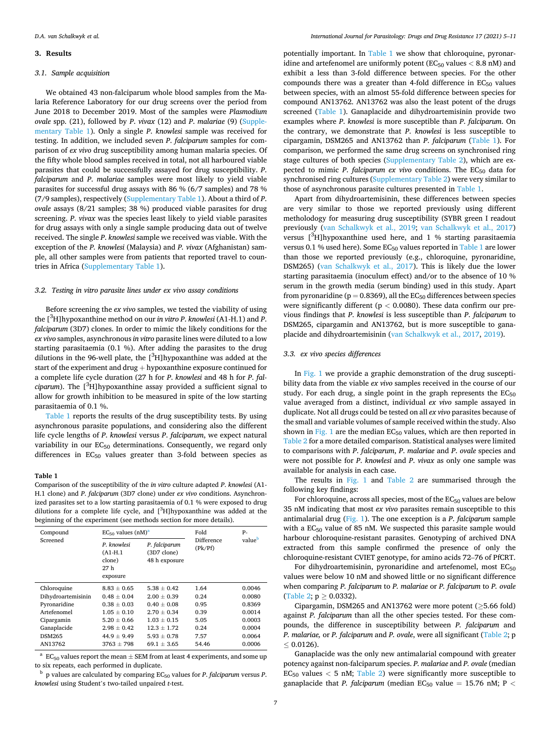#### <span id="page-2-0"></span>**3. Results**

#### *3.1. Sample acquisition*

We obtained 43 non-falciparum whole blood samples from the Malaria Reference Laboratory for our drug screens over the period from June 2018 to December 2019. Most of the samples were *Plasmodium ovale* spp. (21), followed by *P*. *vivax* (12) and *P*. *malariae* (9) (Supplementary Table 1). Only a single *P*. *knowlesi* sample was received for testing. In addition, we included seven *P*. *falciparum* samples for comparison of *ex vivo* drug susceptibility among human malaria species. Of the fifty whole blood samples received in total, not all harboured viable parasites that could be successfully assayed for drug susceptibility. *P*. *falciparum* and *P*. *malariae* samples were most likely to yield viable parasites for successful drug assays with 86 % (6/7 samples) and 78 % (7/9 samples), respectively (Supplementary Table 1). About a third of *P*. *ovale* assays (8/21 samples; 38 %) produced viable parasites for drug screening. *P*. *vivax* was the species least likely to yield viable parasites for drug assays with only a single sample producing data out of twelve received. The single *P*. *knowlesi* sample we received was viable. With the exception of the *P. knowlesi* (Malaysia) and *P. vivax* (Afghanistan) sample, all other samples were from patients that reported travel to countries in Africa (Supplementary Table 1).

## *3.2. Testing in vitro parasite lines under ex vivo assay conditions*

Before screening the *ex vivo* samples, we tested the viability of using the [ 3 H]hypoxanthine method on our *in vitro P*. *knowlesi* (A1-H.1) and *P*. *falciparum* (3D7) clones. In order to mimic the likely conditions for the *ex vivo* samples, asynchronous *in vitro* parasite lines were diluted to a low starting parasitaemia (0.1 %). After adding the parasites to the drug dilutions in the 96-well plate, the  $[^3H]$ hypoxanthine was added at the start of the experiment and drug + hypoxanthine exposure continued for a complete life cycle duration (27 h for *P*. *knowlesi* and 48 h for *P*. *falciparum*). The [ 3 H]hypoxanthine assay provided a sufficient signal to allow for growth inhibition to be measured in spite of the low starting parasitaemia of 0.1 %.

Table 1 reports the results of the drug susceptibility tests. By using asynchronous parasite populations, and considering also the different life cycle lengths of *P*. *knowlesi* versus *P*. *falciparum*, we expect natural variability in our  $EC_{50}$  determinations. Consequently, we regard only differences in  $EC_{50}$  values greater than 3-fold between species as

#### **Table 1**

Comparison of the susceptibility of the *in vitro* culture adapted *P*. *knowlesi* (A1- H.1 clone) and *P*. *falciparum* (3D7 clone) under *ex vivo* conditions. Asynchronized parasites set to a low starting parasitaemia of 0.1 % were exposed to drug dilutions for a complete life cycle, and [3H]hypoxanthine was added at the beginning of the experiment (see methods section for more details).

| Compound<br>Screened | $EC_{50}$ values $(nM)^{a}$                            |                                               | Fold                  | P-     |
|----------------------|--------------------------------------------------------|-----------------------------------------------|-----------------------|--------|
|                      | P. knowlesi<br>$(A1-H.1)$<br>clone)<br>27h<br>exposure | P. falciparum<br>(3D7 clone)<br>48 h exposure | Difference<br>(Pk/Pf) | value  |
| Chloroquine          | $8.83 + 0.65$                                          | $5.38 + 0.42$                                 | 1.64                  | 0.0046 |
| Dihydroartemisinin   | $0.48 + 0.04$                                          | $2.00 + 0.39$                                 | 0.24                  | 0.0080 |
| Pyronaridine         | $0.38 + 0.03$                                          | $0.40 + 0.08$                                 | 0.95                  | 0.8369 |
| Artefenomel          | $1.05 + 0.10$                                          | $2.70 + 0.34$                                 | 0.39                  | 0.0014 |
| Cipargamin           | $5.20 \pm 0.66$                                        | $1.03 + 0.15$                                 | 5.05                  | 0.0003 |
| Ganaplacide          | $2.98 + 0.42$                                          | $12.3 + 1.72$                                 | 0.24                  | 0.0004 |
| <b>DSM265</b>        | $44.9 + 9.49$                                          | $5.93 \pm 0.78$                               | 7.57                  | 0.0064 |
| AN13762              | $3763 + 798$                                           | $69.1 + 3.65$                                 | 54.46                 | 0.0006 |
|                      |                                                        |                                               |                       |        |

 $^{\rm a}$  EC<sub>50</sub> values report the mean  $\pm$  SEM from at least 4 experiments, and some up to six repeats, each performed in duplicate.

 $b$  p values are calculated by comparing EC<sub>50</sub> values for *P. falciparum versus P. knowlesi* using Student's two-tailed unpaired *t*-test.

potentially important. In Table 1 we show that chloroquine, pyronaridine and artefenomel are uniformly potent (EC<sub>50</sub> values  $<$  8.8 nM) and exhibit a less than 3-fold difference between species. For the other compounds there was a greater than 4-fold difference in  $EC_{50}$  values between species, with an almost 55-fold difference between species for compound AN13762. AN13762 was also the least potent of the drugs screened (Table 1). Ganaplacide and dihydroartemisinin provide two examples where *P*. *knowlesi* is more susceptible than *P*. *falciparum*. On the contrary, we demonstrate that *P*. *knowlesi* is less susceptible to cipargamin, DSM265 and AN13762 than *P*. *falciparum* (Table 1). For comparison, we performed the same drug screens on synchronised ring stage cultures of both species (Supplementary Table 2), which are expected to mimic *P. falciparum ex vivo* conditions. The EC<sub>50</sub> data for synchronised ring cultures (Supplementary Table 2) were very similar to those of asynchronous parasite cultures presented in Table 1.

Apart from dihydroartemisinin, these differences between species are very similar to those we reported previously using different metholodogy for measuring drug susceptibility (SYBR green I readout previously ([van Schalkwyk et al., 2019](#page-6-0); [van Schalkwyk et al., 2017\)](#page-6-0) versus [ 3 H]hypoxanthine used here, and 1 % starting parasitaemia versus 0.1 % used here). Some  $EC_{50}$  values reported in Table 1 are lower than those we reported previously (e.g., chloroquine, pyronaridine, DSM265) [\(van Schalkwyk et al., 2017\)](#page-6-0). This is likely due the lower starting parasitaemia (inoculum effect) and/or to the absence of 10 % serum in the growth media (serum binding) used in this study. Apart from pyronaridine ( $p = 0.8369$ ), all the EC<sub>50</sub> differences between species were significantly different (p *<* 0.0080). These data confirm our previous findings that *P*. *knowlesi* is less susceptible than *P*. *falciparum* to DSM265, cipargamin and AN13762, but is more susceptible to ganaplacide and dihydroartemisinin ([van Schalkwyk et al., 2017, 2019](#page-6-0)).

#### *3.3. ex vivo species differences*

In [Fig. 1](#page-3-0) we provide a graphic demonstration of the drug susceptibility data from the viable *ex vivo* samples received in the course of our study. For each drug, a single point in the graph represents the  $EC_{50}$ value averaged from a distinct, individual *ex vivo* sample assayed in duplicate. Not all drugs could be tested on all *ex vivo* parasites because of the small and variable volumes of sample received within the study. Also shown in [Fig. 1](#page-3-0) are the median  $EC_{50}$  values, which are then reported in [Table 2](#page-3-0) for a more detailed comparison. Statistical analyses were limited to comparisons with *P*. *falciparum*, *P*. *malariae* and *P*. *ovale* species and were not possible for *P*. *knowlesi* and *P*. *vivax* as only one sample was available for analysis in each case.

The results in [Fig. 1](#page-3-0) and [Table 2](#page-3-0) are summarised through the following key findings:

For chloroquine, across all species, most of the  $EC_{50}$  values are below 35 nM indicating that most *ex vivo* parasites remain susceptible to this antimalarial drug [\(Fig. 1](#page-3-0)). The one exception is a *P*. *falciparum* sample with a  $EC_{50}$  value of 85 nM. We suspected this parasite sample would harbour chloroquine-resistant parasites. Genotyping of archived DNA extracted from this sample confirmed the presence of only the chloroquine-resistant CVIET genotype, for amino acids 72–76 of PfCRT.

For dihydroartemisinin, pyronaridine and artefenomel, most EC<sub>50</sub> values were below 10 nM and showed little or no significant difference when comparing *P. falciparum* to *P. malariae* or *P. falciparum* to *P. ovale*  ([Table 2](#page-3-0);  $p \ge 0.0332$ ).

Cipargamin, DSM265 and AN13762 were more potent (≥5.66 fold) against *P. falciparum* than all the other species tested. For these compounds, the difference in susceptibility between *P. falciparum* and *P. malariae,* or *P. falciparum* and *P. ovale*, were all significant ([Table 2;](#page-3-0) p  $\leq 0.0126$ ).

Ganaplacide was the only new antimalarial compound with greater potency against non-falciparum species. *P. malariae* and *P. ovale* (median  $EC_{50}$  values  $<$  5 nM; [Table 2\)](#page-3-0) were significantly more susceptible to ganaplacide that *P. falciparum* (median  $EC_{50}$  value = 15.76 nM; P <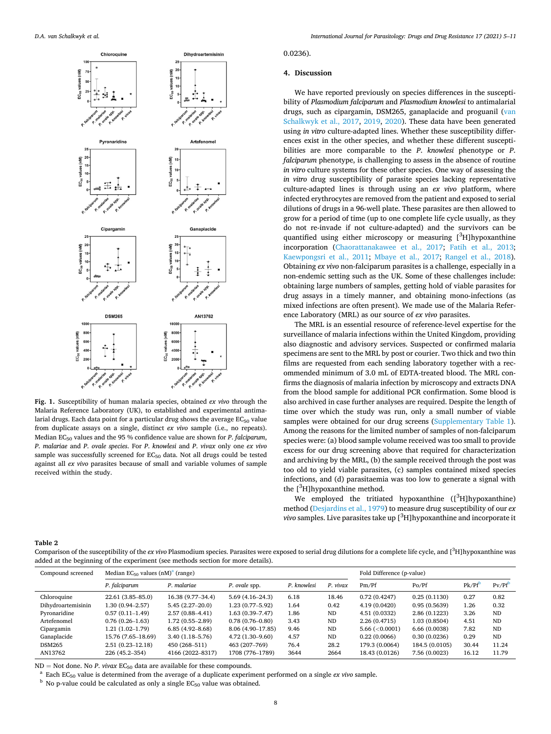<span id="page-3-0"></span>

**Fig. 1.** Susceptibility of human malaria species, obtained *ex vivo* through the Malaria Reference Laboratory (UK), to established and experimental antimalarial drugs. Each data point for a particular drug shows the average  $EC_{50}$  value from duplicate assays on a single, distinct *ex vivo* sample (i.e., no repeats). Median EC50 values and the 95 % confidence value are shown for *P*. *falciparum*, *P*. *malariae* and *P*. *ovale species*. For *P*. *knowlesi* and *P*. *vivax* only one *ex vivo*  sample was successfully screened for  $EC_{50}$  data. Not all drugs could be tested against all *ex vivo* parasites because of small and variable volumes of sample received within the study.

## 0.0236).

## **4. Discussion**

We have reported previously on species differences in the susceptibility of *Plasmodium falciparum* and *Plasmodium knowlesi* to antimalarial drugs, such as cipargamin, DSM265, ganaplacide and proguanil ([van](#page-6-0)  [Schalkwyk et al., 2017](#page-6-0), [2019](#page-6-0), [2020](#page-6-0)). These data have been generated using *in vitro* culture-adapted lines. Whether these susceptibility differences exist in the other species, and whether these different susceptibilities are more comparable to the *P*. *knowlesi* phenotype or *P*. *falciparum* phenotype, is challenging to assess in the absence of routine *in vitro* culture systems for these other species. One way of assessing the *in vitro* drug susceptibility of parasite species lacking representative culture-adapted lines is through using an *ex vivo* platform, where infected erythrocytes are removed from the patient and exposed to serial dilutions of drugs in a 96-well plate. These parasites are then allowed to grow for a period of time (up to one complete life cycle usually, as they do not re-invade if not culture-adapted) and the survivors can be quantified using either microscopy or measuring [<sup>3</sup>H]hypoxanthine incorporation ([Chaorattanakawee et al., 2017](#page-5-0); [Fatih et al., 2013](#page-5-0); [Kaewpongsri et al., 2011;](#page-5-0) [Mbaye et al., 2017](#page-5-0); [Rangel et al., 2018](#page-6-0)). Obtaining *ex vivo* non-falciparum parasites is a challenge, especially in a non-endemic setting such as the UK. Some of these challenges include: obtaining large numbers of samples, getting hold of viable parasites for drug assays in a timely manner, and obtaining mono-infections (as mixed infections are often present). We made use of the Malaria Reference Laboratory (MRL) as our source of *ex vivo* parasites.

The MRL is an essential resource of reference-level expertise for the surveillance of malaria infections within the United Kingdom, providing also diagnostic and advisory services. Suspected or confirmed malaria specimens are sent to the MRL by post or courier. Two thick and two thin films are requested from each sending laboratory together with a recommended minimum of 3.0 mL of EDTA-treated blood. The MRL confirms the diagnosis of malaria infection by microscopy and extracts DNA from the blood sample for additional PCR confirmation. Some blood is also archived in case further analyses are required. Despite the length of time over which the study was run, only a small number of viable samples were obtained for our drug screens (Supplementary Table 1). Among the reasons for the limited number of samples of non-falciparum species were: (a) blood sample volume received was too small to provide excess for our drug screening above that required for characterization and archiving by the MRL, (b) the sample received through the post was too old to yield viable parasites, (c) samples contained mixed species infections, and (d) parasitaemia was too low to generate a signal with the  $[^3H]$ hypoxanthine method.

We employed the tritiated hypoxanthine  $(I^3H]$ hypoxanthine) method [\(Desjardins et al., 1979\)](#page-5-0) to measure drug susceptibility of our *ex vivo* samples. Live parasites take up [ 3 H]hypoxanthine and incorporate it

#### **Table 2**

Comparison of the susceptibility of the ex vivo Plasmodium species. Parasites were exposed to serial drug dilutions for a complete life cycle, and [<sup>3</sup>H]hypoxanthine was added at the beginning of the experiment (see methods section for more details).

| Compound screened  | Median $EG_{50}$ values $(nM)^{a}$ (range) |                     |                     |             |           | Fold Difference (p-value) |                |                      |            |
|--------------------|--------------------------------------------|---------------------|---------------------|-------------|-----------|---------------------------|----------------|----------------------|------------|
|                    | P. falciparum                              | P. malariae         | P. ovale spp.       | P. knowlesi | P. vivax  | Pm/Pf                     | Po/Pf          | $Pk/Pf$ <sup>D</sup> | $P_V/Pf^D$ |
| Chloroquine        | 22.61 (3.85-85.0)                          | 16.38 (9.77-34.4)   | $5.69(4.16-24.3)$   | 6.18        | 18.46     | 0.72(0.4247)              | 0.25(0.1130)   | 0.27                 | 0.82       |
| Dihydroartemisinin | 1.30 (0.94–2.57)                           | $5.45(2.27-20.0)$   | $1.23(0.77 - 5.92)$ | 1.64        | 0.42      | 4.19 (0.0420)             | 0.95(0.5639)   | 1.26                 | 0.32       |
| Pyronaridine       | $0.57(0.11-1.49)$                          | $2.57(0.88 - 4.41)$ | $1.63(0.39 - 7.47)$ | 1.86        | ND        | 4.51 (0.0332)             | 2.86 (0.1223)  | 3.26                 | <b>ND</b>  |
| Artefenomel        | $0.76(0.26 - 1.63)$                        | $1.72(0.55 - 2.89)$ | $0.78(0.76 - 0.80)$ | 3.43        | <b>ND</b> | 2.26 (0.4715)             | 1.03 (0.8504)  | 4.51                 | <b>ND</b>  |
| Cipargamin         | $1.21(1.02-1.79)$                          | $6.85(4.92 - 8.68)$ | 8.06 (4.90-17.85)   | 9.46        | <b>ND</b> | 5.66 ( $\leq 0.0001$ )    | 6.66 (0.0038)  | 7.82                 | <b>ND</b>  |
| Ganaplacide        | 15.76 (7.65-18.69)                         | $3.40(1.18 - 5.76)$ | $4.72(1.30-9.60)$   | 4.57        | <b>ND</b> | 0.22(0.0066)              | 0.30(0.0236)   | 0.29                 | <b>ND</b>  |
| <b>DSM265</b>      | $2.51(0.23 - 12.18)$                       | 450 (268-511)       | 463 (207-769)       | 76.4        | 28.2      | 179.3 (0.0064)            | 184.5 (0.0105) | 30.44                | 11.24      |
| AN13762            | 226 (45.2-354)                             | 4166 (2022-8317)    | 1708 (776-1789)     | 3644        | 2664      | 18.43 (0.0126)            | 7.56 (0.0023)  | 16.12                | 11.79      |

ND = Not done. No *P. vivax* EC<sub>50</sub> data are available for these compounds.<br><sup>a</sup> Each EC<sub>50</sub> value is determined from the average of a duplicate experiment performed on a single *ex vivo* sample.<br><sup>b</sup> No p-value could be ca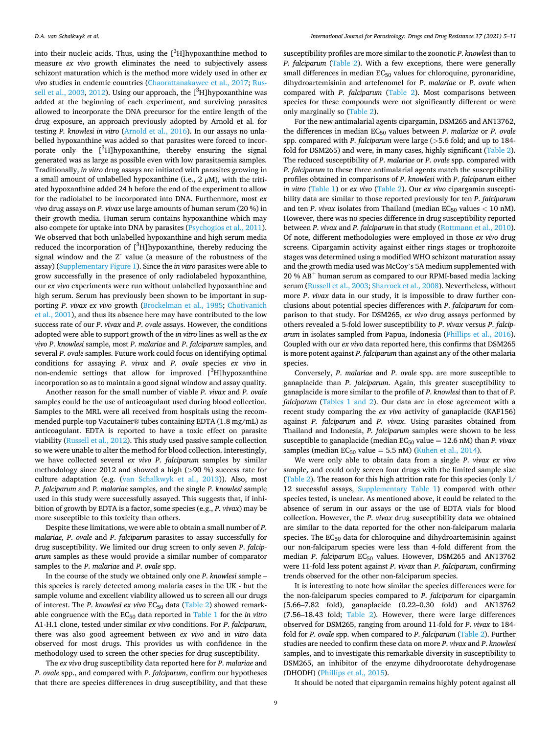into their nucleic acids. Thus, using the  $[^3H]$ hypoxanthine method to measure *ex vivo* growth eliminates the need to subjectively assess schizont maturation which is the method more widely used in other *ex vivo* studies in endemic countries [\(Chaorattanakawee et al., 2017](#page-5-0); [Rus](#page-6-0)[sell et al., 2003, 2012\)](#page-6-0). Using our approach, the  $[^3H]$ hypoxanthine was added at the beginning of each experiment, and surviving parasites allowed to incorporate the DNA precursor for the entire length of the drug exposure, an approach previously adopted by Arnold et al. for testing *P. knowlesi in vitro* [\(Arnold et al., 2016](#page-5-0)). In our assays no unlabelled hypoxanthine was added so that parasites were forced to incorporate only the [<sup>3</sup>H]hypoxanthine, thereby ensuring the signal generated was as large as possible even with low parasitaemia samples. Traditionally, *in vitro* drug assays are initiated with parasites growing in a small amount of unlabelled hypoxanthine (i.e., 2 μM), with the tritiated hypoxanthine added 24 h before the end of the experiment to allow for the radiolabel to be incorporated into DNA. Furthermore, most *ex vivo* drug assays on *P. vivax* use large amounts of human serum (20 %) in their growth media. Human serum contains hypoxanthine which may also compete for uptake into DNA by parasites ([Psychogios et al., 2011](#page-6-0)). We observed that both unlabelled hypoxanthine and high serum media reduced the incorporation of  $[^3H]$ hypoxanthine, thereby reducing the signal window and the Zˊ value (a measure of the robustness of the assay) (Supplementary Figure 1). Since the *in vitro* parasites were able to grow successfully in the presence of only radiolabeled hypoxanthine, our *ex vivo* experiments were run without unlabelled hypoxanthine and high serum. Serum has previously been shown to be important in supporting *P*. *vivax ex vivo* growth ([Brockelman et al., 1985;](#page-5-0) [Chotivanich](#page-5-0)  [et al., 2001](#page-5-0)), and thus its absence here may have contributed to the low success rate of our *P*. *vivax* and *P*. *ovale* assays. However, the conditions adopted were able to support growth of the *in vitro* lines as well as the *ex vivo P*. *knowlesi* sample, most *P*. *malariae* and *P*. *falciparum* samples, and several *P*. *ovale* samples. Future work could focus on identifying optimal conditions for assaying *P*. *vivax* and *P*. *ovale* species *ex vivo* in non-endemic settings that allow for improved [<sup>3</sup>H]hypoxanthine incorporation so as to maintain a good signal window and assay quality.

Another reason for the small number of viable *P. vivax* and *P. ovale*  samples could be the use of anticoagulant used during blood collection. Samples to the MRL were all received from hospitals using the recommended purple-top Vacutainer® tubes containing EDTA (1.8 mg/mL) as anticoagulant. EDTA is reported to have a toxic effect on parasite viability ([Russell et al., 2012](#page-6-0)). This study used passive sample collection so we were unable to alter the method for blood collection. Interestingly, we have collected several *ex vivo P*. *falciparum* samples by similar methodology since 2012 and showed a high (*>*90 %) success rate for culture adaptation (e.g. ([van Schalkwyk et al., 2013\)](#page-6-0)). Also, most *P. falciparum* and *P. malariae* samples, and the single *P. knowlesi* sample used in this study were successfully assayed. This suggests that, if inhibition of growth by EDTA is a factor, some species (e.g., *P. vivax*) may be more susceptible to this toxicity than others.

Despite these limitations, we were able to obtain a small number of *P*. *malariae, P*. *ovale* and *P*. *falciparum* parasites to assay successfully for drug susceptibility. We limited our drug screen to only seven *P*. *falciparum* samples as these would provide a similar number of comparator samples to the *P*. *malariae* and *P*. *ovale* spp.

In the course of the study we obtained only one *P*. *knowlesi* sample – this species is rarely detected among malaria cases in the UK - but the sample volume and excellent viability allowed us to screen all our drugs of interest. The *P*. *knowlesi ex vivo* EC<sub>50</sub> data ([Table 2](#page-3-0)) showed remarkable congruence with the EC50 data reported in [Table 1](#page-2-0) for the *in vitro*  A1-H.1 clone, tested under similar *ex vivo* conditions. For *P*. *falciparum*, there was also good agreement between *ex vivo* and *in vitro* data observed for most drugs. This provides us with confidence in the methodology used to screen the other species for drug susceptibility.

The *ex vivo* drug susceptibility data reported here for *P*. *malariae* and *P*. *ovale* spp., and compared with *P*. *falciparum*, confirm our hypotheses that there are species differences in drug susceptibility, and that these

susceptibility profiles are more similar to the zoonotic *P*. *knowlesi* than to *P. falciparum* [\(Table 2\)](#page-3-0). With a few exceptions, there were generally small differences in median  $EC_{50}$  values for chloroquine, pyronaridine, dihydroartemisinin and artefenomel for *P*. *malariae* or *P*. *ovale* when compared with *P*. *falciparum* [\(Table 2\)](#page-3-0). Most comparisons between species for these compounds were not significantly different or were only marginally so ([Table 2](#page-3-0)).

For the new antimalarial agents cipargamin, DSM265 and AN13762, the differences in median EC50 values between *P*. *malariae* or *P*. *ovale*  spp. compared with *P*. *falciparum* were large (*>*5.6 fold; and up to 184 fold for DSM265) and were, in many cases, highly significant [\(Table 2](#page-3-0)). The reduced susceptibility of *P*. *malariae* or *P*. *ovale* spp. compared with *P*. *falciparum* to these three antimalarial agents match the susceptibility profiles obtained in comparisons of *P*. *knowlesi* with *P*. *falciparum* either *in vitro* [\(Table 1\)](#page-2-0) or *ex vivo* ([Table 2](#page-3-0)). Our *ex vivo* cipargamin susceptibility data are similar to those reported previously for ten *P*. *falciparum*  and ten *P*. *vivax* isolates from Thailand (median  $EC_{50}$  values  $<$  10 nM). However, there was no species difference in drug susceptibility reported between *P*. *vivax* and *P*. *falciparum* in that study ([Rottmann et al., 2010](#page-6-0)). Of note, different methodologies were employed in those *ex vivo* drug screens. Cipargamin activity against either rings stages or trophozoite stages was determined using a modified WHO schizont maturation assay and the growth media used was McCoy's 5A medium supplemented with  $20 \% AB<sup>+</sup>$  human serum as compared to our RPMI-based media lacking serum ([Russell et al., 2003](#page-6-0); [Sharrock et al., 2008](#page-6-0)). Nevertheless, without more *P*. *vivax* data in our study, it is impossible to draw further conclusions about potential species differences with *P*. *falciparum* for comparison to that study. For DSM265, *ex vivo* drug assays performed by others revealed a 5-fold lower susceptibility to *P*. *vivax* versus *P*. *falciparum* in isolates sampled from Papua, Indonesia ([Phillips et al., 2016](#page-6-0)). Coupled with our *ex vivo* data reported here, this confirms that DSM265 is more potent against *P*. *falciparum* than against any of the other malaria species.

Conversely, *P*. *malariae* and *P*. *ovale* spp. are more susceptible to ganaplacide than *P*. *falciparum*. Again, this greater susceptibility to ganaplacide is more similar to the profile of *P*. *knowlesi* than to that of *P*. *falciparum* ([Tables 1 and 2\)](#page-2-0). Our data are in close agreement with a recent study comparing the *ex vivo* activity of ganaplacide (KAF156) against *P. falciparum* and *P. vivax*. Using parasites obtained from Thailand and Indonesia, *P. falciparum* samples were shown to be less susceptible to ganaplacide (median  $EC_{50}$  value  $= 12.6$  nM) than *P. vivax* samples (median  $EC_{50}$  value = 5.5 nM) ([Kuhen et al., 2014\)](#page-5-0).

We were only able to obtain data from a single *P*. *vivax ex vivo*  sample, and could only screen four drugs with the limited sample size ([Table 2\)](#page-3-0). The reason for this high attrition rate for this species (only 1/ 12 successful assays, Supplementary Table 1) compared with other species tested, is unclear. As mentioned above, it could be related to the absence of serum in our assays or the use of EDTA vials for blood collection. However, the *P*. *vivax* drug susceptibility data we obtained are similar to the data reported for the other non-falciparum malaria species. The  $EC_{50}$  data for chloroquine and dihydroartemisinin against our non-falciparum species were less than 4-fold different from the median *P. falciparum* EC<sub>50</sub> values. However, DSM265 and AN13762 were 11-fold less potent against *P*. *vivax* than *P*. *falciparum*, confirming trends observed for the other non-falciparum species.

It is interesting to note how similar the species differences were for the non-falciparum species compared to *P*. *falciparum* for cipargamin (5.66–7.82 fold), ganaplacide (0.22–0.30 fold) and AN13762 (7.56–18.43 fold; [Table 2\)](#page-3-0). However, there were large differences observed for DSM265, ranging from around 11-fold for *P*. *vivax* to 184 fold for *P*. *ovale* spp. when compared to *P*. *falciparum* ([Table 2\)](#page-3-0). Further studies are needed to confirm these data on more *P*. *vivax* and *P*. *knowlesi*  samples, and to investigate this remarkable diversity in susceptibility to DSM265, an inhibitor of the enzyme dihydroorotate dehydrogenase (DHODH) ([Phillips et al., 2015\)](#page-6-0).

It should be noted that cipargamin remains highly potent against all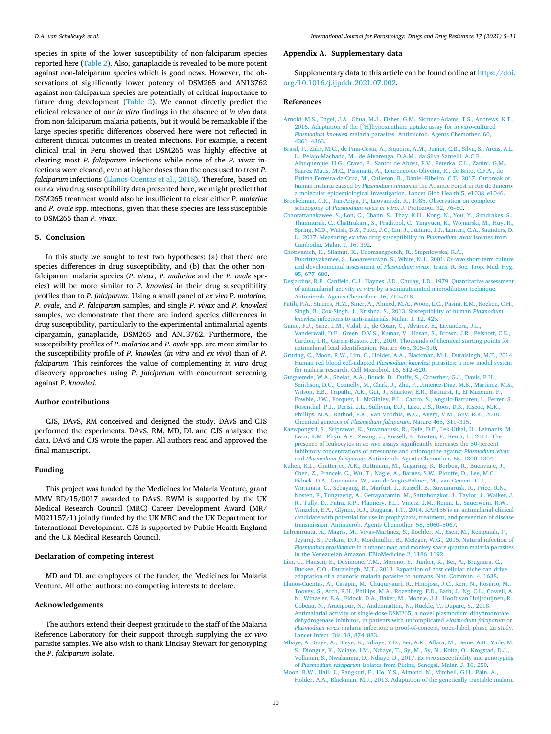*International Journal for Parasitology: Drugs and Drug Resistance 17 (2021) 5–11*

#### **Appendix A. Supplementary data**

Supplementary data to this article can be found online at [https://doi.](https://doi.org/10.1016/j.ijpddr.2021.07.002)  [org/10.1016/j.ijpddr.2021.07.002](https://doi.org/10.1016/j.ijpddr.2021.07.002).

## **References**

- [Arnold, M.S., Engel, J.A., Chua, M.J., Fisher, G.M., Skinner-Adams, T.S., Andrews, K.T.,](http://refhub.elsevier.com/S2211-3207(21)00033-6/sref1)  2016. Adaptation of the [ 3 [H\]hypoxanthine uptake assay for](http://refhub.elsevier.com/S2211-3207(21)00033-6/sref1) *in vitro*-cultured *Plasmodium knowlesi* [malaria parasites. Antimicrob. Agents Chemother. 60,](http://refhub.elsevier.com/S2211-3207(21)00033-6/sref1) [4361](http://refhub.elsevier.com/S2211-3207(21)00033-6/sref1)–4363.
- [Brasil, P., Zalis, M.G., de Pina-Costa, A., Siqueira, A.M., Junior, C.B., Silva, S., Areas, A.L.](http://refhub.elsevier.com/S2211-3207(21)00033-6/sref2)  [L., Pelajo-Machado, M., de Alvarenga, D.A.M., da Silva Santelli, A.C.F.,](http://refhub.elsevier.com/S2211-3207(21)00033-6/sref2)  [Albuquerque, H.G., Cravo, P., Santos de Abreu, F.V., Peterka, C.L., Zanini, G.M.,](http://refhub.elsevier.com/S2211-3207(21)00033-6/sref2) [Suarez Mutis, M.C., Pissinatti, A., Lourenco-de-Oliveira, R., de Brito, C.F.A., de](http://refhub.elsevier.com/S2211-3207(21)00033-6/sref2)  [Fatima Ferreira-da-Cruz, M., Culleton, R., Daniel-Ribeiro, C.T., 2017. Outbreak of](http://refhub.elsevier.com/S2211-3207(21)00033-6/sref2)  human malaria caused by *Plasmodium simium* [in the Atlantic Forest in Rio de Janeiro:](http://refhub.elsevier.com/S2211-3207(21)00033-6/sref2)  [a molecular epidemiological investigation. Lancet Glob Health 5, e1038](http://refhub.elsevier.com/S2211-3207(21)00033-6/sref2)–e1046.
- [Brockelman, C.R., Tan-Ariya, P., Laovanitch, R., 1985. Observation on complete](http://refhub.elsevier.com/S2211-3207(21)00033-6/sref3) schizogony of *[Plasmodium vivax in vitro](http://refhub.elsevier.com/S2211-3207(21)00033-6/sref3)*. J. Protozool. 32, 76–80.
- [Chaorattanakawee, S., Lon, C., Chann, S., Thay, K.H., Kong, N., You, Y., Sundrakes, S.,](http://refhub.elsevier.com/S2211-3207(21)00033-6/sref4)  [Thamnurak, C., Chattrakarn, S., Praditpol, C., Yingyuen, K., Wojnarski, M., Huy, R.,](http://refhub.elsevier.com/S2211-3207(21)00033-6/sref4)  [Spring, M.D., Walsh, D.S., Patel, J.C., Lin, J., Juliano, J.J., Lanteri, C.A., Saunders, D.](http://refhub.elsevier.com/S2211-3207(21)00033-6/sref4)  L., 2017. Measuring *ex vivo* [drug susceptibility in](http://refhub.elsevier.com/S2211-3207(21)00033-6/sref4) *Plasmodium vivax* isolates from [Cambodia. Malar. J. 16, 392](http://refhub.elsevier.com/S2211-3207(21)00033-6/sref4).
- [Chotivanich, K., Silamut, K., Udomsangpetch, R., Stepniewska, K.A.,](http://refhub.elsevier.com/S2211-3207(21)00033-6/sref5) [Pukrittayakamee, S., Looareesuwan, S., White, N.J., 2001.](http://refhub.elsevier.com/S2211-3207(21)00033-6/sref5) *Ex-vivo* short-term culture [and developmental assessment of](http://refhub.elsevier.com/S2211-3207(21)00033-6/sref5) *Plasmodium vivax*. Trans. R. Soc. Trop. Med. Hyg. [95, 677](http://refhub.elsevier.com/S2211-3207(21)00033-6/sref5)–680.
- [Desjardins, R.E., Canfield, C.J., Haynes, J.D., Chulay, J.D., 1979. Quantitative assessment](http://refhub.elsevier.com/S2211-3207(21)00033-6/sref6)  of antimalarial activity *in vitro* [by a semiautomated microdilution technique.](http://refhub.elsevier.com/S2211-3207(21)00033-6/sref6) [Antimicrob. Agents Chemother. 16, 710](http://refhub.elsevier.com/S2211-3207(21)00033-6/sref6)–718.
- [Fatih, F.A., Staines, H.M., Siner, A., Ahmed, M.A., Woon, L.C., Pasini, E.M., Kocken, C.H.,](http://refhub.elsevier.com/S2211-3207(21)00033-6/sref7)  [Singh, B., Cox-Singh, J., Krishna, S., 2013. Susceptibility of human](http://refhub.elsevier.com/S2211-3207(21)00033-6/sref7) *Plasmodium knowlesi* [infections to anti-malarials. Malar. J. 12, 425.](http://refhub.elsevier.com/S2211-3207(21)00033-6/sref7)
- [Gamo, F.J., Sanz, L.M., Vidal, J., de Cozar, C., Alvarez, E., Lavandera, J.L.,](http://refhub.elsevier.com/S2211-3207(21)00033-6/sref8) [Vanderwall, D.E., Green, D.V.S., Kumar, V., Hasan, S., Brown, J.R., Peishoff, C.E.,](http://refhub.elsevier.com/S2211-3207(21)00033-6/sref8)  [Cardon, L.R., Garcia-Bustos, J.F., 2010. Thousands of chemical starting points for](http://refhub.elsevier.com/S2211-3207(21)00033-6/sref8)  [antimalarial lead identification. Nature 465, 305](http://refhub.elsevier.com/S2211-3207(21)00033-6/sref8)–310.
- [Gruring, C., Moon, R.W., Lim, C., Holder, A.A., Blackman, M.J., Duraisingh, M.T., 2014.](http://refhub.elsevier.com/S2211-3207(21)00033-6/sref9)  [Human red blood cell-adapted](http://refhub.elsevier.com/S2211-3207(21)00033-6/sref9) *Plasmodium knowlesi* parasites: a new model system [for malaria research. Cell Microbiol. 16, 612](http://refhub.elsevier.com/S2211-3207(21)00033-6/sref9)–620.
- [Guiguemde, W.A., Shelat, A.A., Bouck, D., Duffy, S., Crowther, G.J., Davis, P.H.,](http://refhub.elsevier.com/S2211-3207(21)00033-6/sref10) [Smithson, D.C., Connelly, M., Clark, J., Zhu, F., Jimenez-Diaz, M.B., Martinez, M.S.,](http://refhub.elsevier.com/S2211-3207(21)00033-6/sref10)  [Wilson, E.B., Tripathi, A.K., Gut, J., Sharlow, E.R., Bathurst, I., El Mazouni, F.,](http://refhub.elsevier.com/S2211-3207(21)00033-6/sref10) [Fowble, J.W., Forquer, I., McGinley, P.L., Castro, S., Angulo-Barturen, I., Ferrer, S.,](http://refhub.elsevier.com/S2211-3207(21)00033-6/sref10)  [Rosenthal, P.J., Derisi, J.L., Sullivan, D.J., Lazo, J.S., Roos, D.S., Riscoe, M.K.,](http://refhub.elsevier.com/S2211-3207(21)00033-6/sref10) [Phillips, M.A., Rathod, P.K., Van Voorhis, W.C., Avery, V.M., Guy, R.K., 2010.](http://refhub.elsevier.com/S2211-3207(21)00033-6/sref10)  Chemical genetics of *[Plasmodium falciparum](http://refhub.elsevier.com/S2211-3207(21)00033-6/sref10)*. Nature 465, 311–315.
- [Kaewpongsri, S., Sriprawat, K., Suwanarusk, R., Kyle, D.E., Lek-Uthai, U., Leimanis, M.,](http://refhub.elsevier.com/S2211-3207(21)00033-6/sref11)  [Lwin, K.M., Phyo, A.P., Zwang, J., Russell, B., Nosten, F., Renia, L., 2011. The](http://refhub.elsevier.com/S2211-3207(21)00033-6/sref11) presence of leukocytes in *ex vivo* [assays significantly increases the 50-percent](http://refhub.elsevier.com/S2211-3207(21)00033-6/sref11) [inhibitory concentrations of artesunate and chloroquine against](http://refhub.elsevier.com/S2211-3207(21)00033-6/sref11) *Plasmodium vivax*  and *Plasmodium falciparum*[. Antimicrob. Agents Chemother. 55, 1300](http://refhub.elsevier.com/S2211-3207(21)00033-6/sref11)–1304.
- [Kuhen, K.L., Chatterjee, A.K., Rottmann, M., Gagaring, K., Borboa, R., Buenviaje, J.,](http://refhub.elsevier.com/S2211-3207(21)00033-6/sref12)  [Chen, Z., Francek, C., Wu, T., Nagle, A., Barnes, S.W., Plouffe, D., Lee, M.C.,](http://refhub.elsevier.com/S2211-3207(21)00033-6/sref12) [Fidock, D.A., Graumans, W., van de Vegte-Bolmer, M., van Gemert, G.J.,](http://refhub.elsevier.com/S2211-3207(21)00033-6/sref12) [Wirjanata, G., Sebayang, B., Marfurt, J., Russell, B., Suwanarusk, R., Price, R.N.,](http://refhub.elsevier.com/S2211-3207(21)00033-6/sref12) [Nosten, F., Tungtaeng, A., Gettayacamin, M., Sattabongkot, J., Taylor, J., Walker, J.](http://refhub.elsevier.com/S2211-3207(21)00033-6/sref12)  [R., Tully, D., Patra, K.P., Flannery, E.L., Vinetz, J.M., Renia, L., Sauerwein, R.W.,](http://refhub.elsevier.com/S2211-3207(21)00033-6/sref12) [Winzeler, E.A., Glynne, R.J., Diagana, T.T., 2014. KAF156 is an antimalarial clinical](http://refhub.elsevier.com/S2211-3207(21)00033-6/sref12)  [candidate with potential for use in prophylaxis, treatment, and prevention of disease](http://refhub.elsevier.com/S2211-3207(21)00033-6/sref12)  [transmission. Antimicrob. Agents Chemother. 58, 5060](http://refhub.elsevier.com/S2211-3207(21)00033-6/sref12)–5067.
- [Lalremruata, A., Magris, M., Vivas-Martinez, S., Koehler, M., Esen, M., Kempaiah, P.,](http://refhub.elsevier.com/S2211-3207(21)00033-6/sref13) [Jeyaraj, S., Perkins, D.J., Mordmuller, B., Metzger, W.G., 2015. Natural infection of](http://refhub.elsevier.com/S2211-3207(21)00033-6/sref13)  *Plasmodium brasilianum* [in humans: man and monkey share quartan malaria parasites](http://refhub.elsevier.com/S2211-3207(21)00033-6/sref13)  [in the Venezuelan Amazon. EBioMedicine 2, 1186](http://refhub.elsevier.com/S2211-3207(21)00033-6/sref13)–1192.
- [Lim, C., Hansen, E., DeSimone, T.M., Moreno, Y., Junker, K., Bei, A., Brugnara, C.,](http://refhub.elsevier.com/S2211-3207(21)00033-6/sref14)  [Buckee, C.O., Duraisingh, M.T., 2013. Expansion of host cellular niche can drive](http://refhub.elsevier.com/S2211-3207(21)00033-6/sref14) [adaptation of a zoonotic malaria parasite to humans. Nat. Commun. 4, 1638](http://refhub.elsevier.com/S2211-3207(21)00033-6/sref14).
- [Llanos-Cuentas, A., Casapia, M., Chuquiyauri, R., Hinojosa, J.C., Kerr, N., Rosario, M.,](http://refhub.elsevier.com/S2211-3207(21)00033-6/sref15)  [Toovey, S., Arch, R.H., Phillips, M.A., Rozenberg, F.D., Bath, J., Ng, C.L., Cowell, A.](http://refhub.elsevier.com/S2211-3207(21)00033-6/sref15)  [N., Winzeler, E.A., Fidock, D.A., Baker, M., Mohrle, J.J., Hooft van Huijsduijnen, R.,](http://refhub.elsevier.com/S2211-3207(21)00033-6/sref15)  [Gobeau, N., Araeipour, N., Andenmatten, N., Ruckle, T., Duparc, S., 2018.](http://refhub.elsevier.com/S2211-3207(21)00033-6/sref15)  [Antimalarial activity of single-dose DSM265, a novel plasmodium dihydroorotate](http://refhub.elsevier.com/S2211-3207(21)00033-6/sref15) [dehydrogenase inhibitor, in patients with uncomplicated](http://refhub.elsevier.com/S2211-3207(21)00033-6/sref15) *Plasmodium falciparum* or *Plasmodium vivax* [malaria infection: a proof-of-concept, open-label, phase 2a study.](http://refhub.elsevier.com/S2211-3207(21)00033-6/sref15)  [Lancet Infect. Dis. 18, 874](http://refhub.elsevier.com/S2211-3207(21)00033-6/sref15)–883.
- [Mbaye, A., Gaye, A., Dieye, B., Ndiaye, Y.D., Bei, A.K., Affara, M., Deme, A.B., Yade, M.](http://refhub.elsevier.com/S2211-3207(21)00033-6/sref16)  [S., Diongue, K., Ndiaye, I.M., Ndiaye, T., Sy, M., Sy, N., Koita, O., Krogstad, D.J.,](http://refhub.elsevier.com/S2211-3207(21)00033-6/sref16)  [Volkman, S., Nwakanma, D., Ndiaye, D., 2017.](http://refhub.elsevier.com/S2211-3207(21)00033-6/sref16) *Ex vivo* susceptibility and genotyping of *Plasmodium falciparum* [isolates from Pikine, Senegal. Malar. J. 16, 250.](http://refhub.elsevier.com/S2211-3207(21)00033-6/sref16)
- [Moon, R.W., Hall, J., Rangkuti, F., Ho, Y.S., Almond, N., Mitchell, G.H., Pain, A.,](http://refhub.elsevier.com/S2211-3207(21)00033-6/sref17)  [Holder, A.A., Blackman, M.J., 2013. Adaptation of the genetically tractable malaria](http://refhub.elsevier.com/S2211-3207(21)00033-6/sref17)

reported here [\(Table 2](#page-3-0)). Also, ganaplacide is revealed to be more potent against non-falciparum species which is good news. However, the observations of significantly lower potency of DSM265 and AN13762 against non-falciparum species are potentially of critical importance to future drug development [\(Table 2\)](#page-3-0). We cannot directly predict the clinical relevance of our *in vitro* findings in the absence of *in vivo* data from non-falciparum malaria patients, but it would be remarkable if the large species-specific differences observed here were not reflected in different clinical outcomes in treated infections. For example, a recent clinical trial in Peru showed that DSM265 was highly effective at clearing most *P*. *falciparum* infections while none of the *P*. *vivax* infections were cleared, even at higher doses than the ones used to treat *P*. *falciparum* infections (Llanos-Cuentas et al., 2018). Therefore, based on our *ex vivo* drug susceptibility data presented here, we might predict that DSM265 treatment would also be insufficient to clear either *P. malariae*  and *P. ovale* spp. infections, given that these species are less susceptible to DSM265 than *P. vivax*.

<span id="page-5-0"></span>species in spite of the lower susceptibility of non-falciparum species

## **5. Conclusion**

In this study we sought to test two hypotheses: (a) that there are species differences in drug susceptibility, and (b) that the other nonfalciparum malaria species (*P*. *vivax*, *P*. *malariae* and the *P*. *ovale* species) will be more similar to *P*. *knowlesi* in their drug susceptibility profiles than to *P*. *falciparum*. Using a small panel of *ex vivo P*. *malariae*, *P*. *ovale*, and *P*. *falciparum* samples, and single *P*. *vivax* and *P*. *knowlesi*  samples, we demonstrate that there are indeed species differences in drug susceptibility, particularly to the experimental antimalarial agents cipargamin, ganaplacide, DSM265 and AN13762. Furthermore, the susceptibility profiles of *P*. *malariae* and *P*. *ovale* spp. are more similar to the susceptibility profile of *P*. *knowlesi* (*in vitro* and *ex vivo*) than of *P*. *falciparum*. This reinforces the value of complementing *in vitro* drug discovery approaches using *P*. *falciparum* with concurrent screening against *P*. *knowlesi*.

#### **Author contributions**

CJS, DAvS, RM conceived and designed the study. DAvS and CJS performed the experiments. DAvS, RM, MD, DL and CJS analysed the data. DAvS and CJS wrote the paper. All authors read and approved the final manuscript.

## **Funding**

This project was funded by the Medicines for Malaria Venture, grant MMV RD/15/0017 awarded to DAvS. RWM is supported by the UK Medical Research Council (MRC) Career Development Award (MR/ M021157/1) jointly funded by the UK MRC and the UK Department for International Development. CJS is supported by Public Health England and the UK Medical Research Council.

#### **Declaration of competing interest**

MD and DL are employees of the funder, the Medicines for Malaria Venture. All other authors: no competing interests to declare.

#### **Acknowledgements**

The authors extend their deepest gratitude to the staff of the Malaria Reference Laboratory for their support through supplying the *ex vivo*  parasite samples. We also wish to thank Lindsay Stewart for genotyping the *P*. *falciparum* isolate.